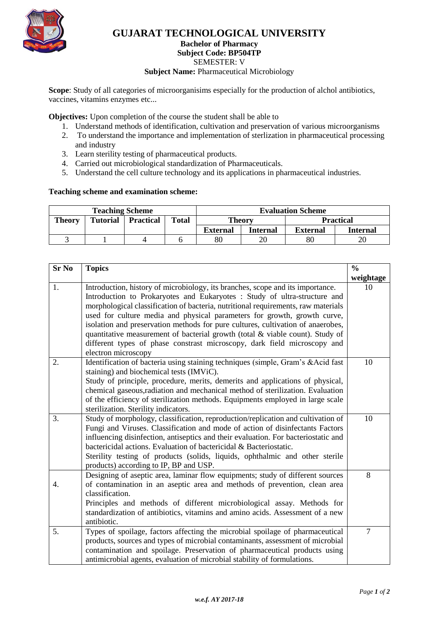

## **GUJARAT TECHNOLOGICAL UNIVERSITY**

## **Bachelor of Pharmacy**

#### **Subject Code: BP504TP**

SEMESTER: V

#### **Subject Name: Pharmaceutical Microbiology**

**Scope**: Study of all categories of microorganisims especially for the production of alchol antibiotics, vaccines, vitamins enzymes etc...

**Objectives:** Upon completion of the course the student shall be able to

- 1. Understand methods of identification, cultivation and preservation of various microorganisms
- 2. To understand the importance and implementation of sterlization in pharmaceutical processing and industry
- 3. Learn sterility testing of pharmaceutical products.
- 4. Carried out microbiological standardization of Pharmaceuticals.
- 5. Understand the cell culture technology and its applications in pharmaceutical industries.

#### **Teaching scheme and examination scheme:**

| <b>Teaching Scheme</b> |                 |                  |              | <b>Evaluation Scheme</b> |                 |                  |          |
|------------------------|-----------------|------------------|--------------|--------------------------|-----------------|------------------|----------|
| <b>Theory</b>          | <b>Tutorial</b> | <b>Practical</b> | <b>Total</b> | Theorv                   |                 | <b>Practical</b> |          |
|                        |                 |                  |              | <b>External</b>          | <b>Internal</b> | External         | Internal |
|                        |                 |                  |              | 80                       | 20              | 80               | ۷Ć       |

| <b>Sr No</b> | <b>Topics</b>                                                                                                                                                                                                                                                                                                                                                                                                                                                                                                                                                                                       |                |  |
|--------------|-----------------------------------------------------------------------------------------------------------------------------------------------------------------------------------------------------------------------------------------------------------------------------------------------------------------------------------------------------------------------------------------------------------------------------------------------------------------------------------------------------------------------------------------------------------------------------------------------------|----------------|--|
|              |                                                                                                                                                                                                                                                                                                                                                                                                                                                                                                                                                                                                     | weightage      |  |
| 1.           | Introduction, history of microbiology, its branches, scope and its importance.<br>Introduction to Prokaryotes and Eukaryotes : Study of ultra-structure and<br>morphological classification of bacteria, nutritional requirements, raw materials<br>used for culture media and physical parameters for growth, growth curve,<br>isolation and preservation methods for pure cultures, cultivation of anaerobes,<br>quantitative measurement of bacterial growth (total & viable count). Study of<br>different types of phase constrast microscopy, dark field microscopy and<br>electron microscopy | 10             |  |
| 2.           | Identification of bacteria using staining techniques (simple, Gram's &Acid fast<br>staining) and biochemical tests (IMViC).<br>Study of principle, procedure, merits, demerits and applications of physical,<br>chemical gaseous, radiation and mechanical method of sterilization. Evaluation<br>of the efficiency of sterilization methods. Equipments employed in large scale<br>sterilization. Sterility indicators.                                                                                                                                                                            | 10             |  |
| 3.           | Study of morphology, classification, reproduction/replication and cultivation of<br>Fungi and Viruses. Classification and mode of action of disinfectants Factors<br>influencing disinfection, antiseptics and their evaluation. For bacteriostatic and<br>bactericidal actions. Evaluation of bactericidal & Bacteriostatic.<br>Sterility testing of products (solids, liquids, ophthalmic and other sterile<br>products) according to IP, BP and USP.                                                                                                                                             | 10             |  |
| 4.           | Designing of aseptic area, laminar flow equipments; study of different sources<br>of contamination in an aseptic area and methods of prevention, clean area<br>classification.<br>Principles and methods of different microbiological assay. Methods for<br>standardization of antibiotics, vitamins and amino acids. Assessment of a new<br>antibiotic.                                                                                                                                                                                                                                            | 8              |  |
| 5.           | Types of spoilage, factors affecting the microbial spoilage of pharmaceutical<br>products, sources and types of microbial contaminants, assessment of microbial<br>contamination and spoilage. Preservation of pharmaceutical products using<br>antimicrobial agents, evaluation of microbial stability of formulations.                                                                                                                                                                                                                                                                            | $\overline{7}$ |  |